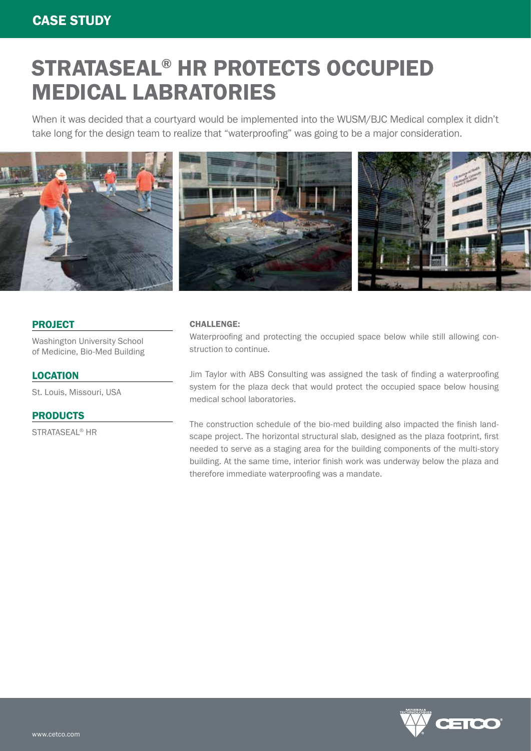### CASE STUDY

# STRATASEAL® HR PROTECTS OCCUPIED MEDICAL LABRATORIES

When it was decided that a courtyard would be implemented into the WUSM/BJC Medical complex it didn't take long for the design team to realize that "waterproofing" was going to be a major consideration.



#### PROJECT

Washington University School of Medicine, Bio-Med Building

#### **LOCATION**

St. Louis, Missouri, USA

PRODUCTS

STRATASEAL® HR

#### CHALLENGE:

Waterproofing and protecting the occupied space below while still allowing construction to continue.

Jim Taylor with ABS Consulting was assigned the task of finding a waterproofing system for the plaza deck that would protect the occupied space below housing medical school laboratories.

The construction schedule of the bio-med building also impacted the finish landscape project. The horizontal structural slab, designed as the plaza footprint, first needed to serve as a staging area for the building components of the multi-story building. At the same time, interior finish work was underway below the plaza and therefore immediate waterproofing was a mandate.